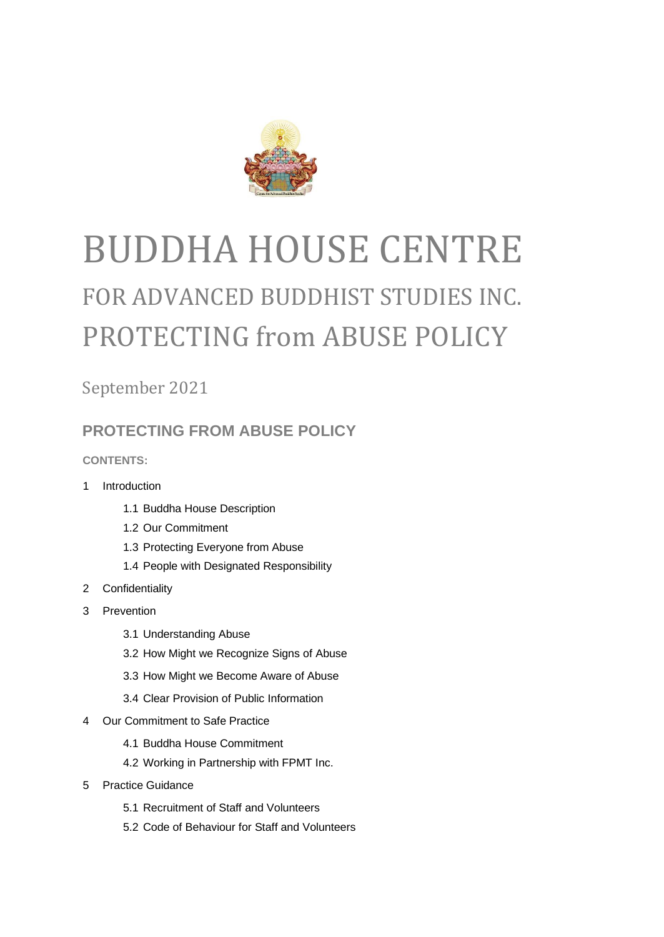

# BUDDHA HOUSE CENTRE FOR ADVANCED BUDDHIST STUDIES INC. PROTECTING from ABUSE POLICY

September 2021

# **PROTECTING FROM ABUSE POLICY**

**CONTENTS:**

- 1 Introduction
	- 1.1 Buddha House Description
	- 1.2 Our Commitment
	- 1.3 Protecting Everyone from Abuse
	- 1.4 People with Designated Responsibility
- 2 Confidentiality
- 3 Prevention
	- 3.1 Understanding Abuse
	- 3.2 How Might we Recognize Signs of Abuse
	- 3.3 How Might we Become Aware of Abuse
	- 3.4 Clear Provision of Public Information
- 4 Our Commitment to Safe Practice
	- 4.1 Buddha House Commitment
	- 4.2 Working in Partnership with FPMT Inc.
- 5 Practice Guidance
	- 5.1 Recruitment of Staff and Volunteers
	- 5.2 Code of Behaviour for Staff and Volunteers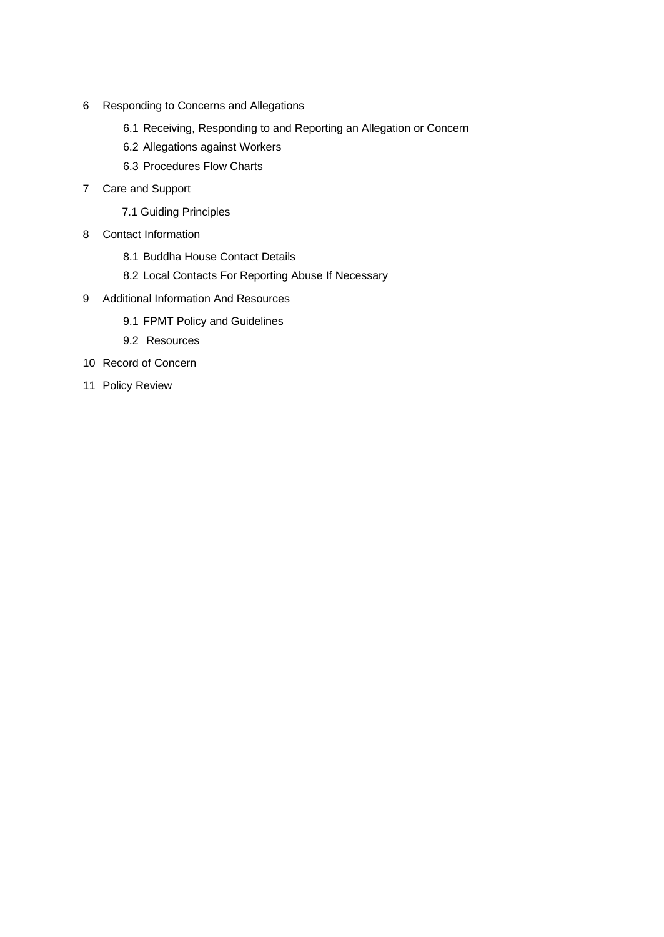- 6 Responding to Concerns and Allegations
	- 6.1 Receiving, Responding to and Reporting an Allegation or Concern
	- 6.2 Allegations against Workers
	- 6.3 Procedures Flow Charts
- 7 Care and Support
	- 7.1 Guiding Principles
- 8 Contact Information
	- 8.1 Buddha House Contact Details
	- 8.2 Local Contacts For Reporting Abuse If Necessary
- 9 Additional Information And Resources
	- 9.1 FPMT Policy and Guidelines
	- 9.2 Resources
- 10 Record of Concern
- 11 Policy Review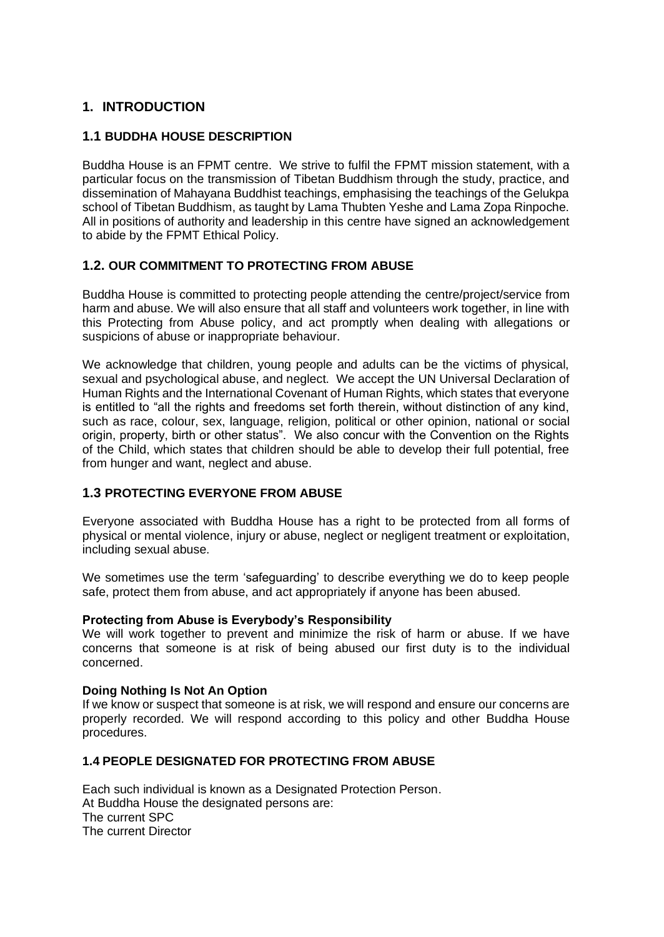## **1. INTRODUCTION**

#### **1.1 BUDDHA HOUSE DESCRIPTION**

Buddha House is an FPMT centre. We strive to fulfil the FPMT mission statement, with a particular focus on the transmission of Tibetan Buddhism through the study, practice, and dissemination of Mahayana Buddhist teachings, emphasising the teachings of the Gelukpa school of Tibetan Buddhism, as taught by Lama Thubten Yeshe and Lama Zopa Rinpoche. All in positions of authority and leadership in this centre have signed an acknowledgement to abide by the FPMT Ethical Policy.

### **1.2. OUR COMMITMENT TO PROTECTING FROM ABUSE**

Buddha House is committed to protecting people attending the centre/project/service from harm and abuse. We will also ensure that all staff and volunteers work together, in line with this Protecting from Abuse policy, and act promptly when dealing with allegations or suspicions of abuse or inappropriate behaviour.

We acknowledge that children, young people and adults can be the victims of physical, sexual and psychological abuse, and neglect. We accept the UN Universal Declaration of Human Rights and the International Covenant of Human Rights, which states that everyone is entitled to "all the rights and freedoms set forth therein, without distinction of any kind, such as race, colour, sex, language, religion, political or other opinion, national or social origin, property, birth or other status". We also concur with the Convention on the Rights of the Child, which states that children should be able to develop their full potential, free from hunger and want, neglect and abuse.

#### **1.3 PROTECTING EVERYONE FROM ABUSE**

Everyone associated with Buddha House has a right to be protected from all forms of physical or mental violence, injury or abuse, neglect or negligent treatment or exploitation, including sexual abuse.

We sometimes use the term 'safeguarding' to describe everything we do to keep people safe, protect them from abuse, and act appropriately if anyone has been abused.

#### **Protecting from Abuse is Everybody's Responsibility**

We will work together to prevent and minimize the risk of harm or abuse. If we have concerns that someone is at risk of being abused our first duty is to the individual concerned.

#### **Doing Nothing Is Not An Option**

If we know or suspect that someone is at risk, we will respond and ensure our concerns are properly recorded. We will respond according to this policy and other Buddha House procedures.

#### **1.4 PEOPLE DESIGNATED FOR PROTECTING FROM ABUSE**

Each such individual is known as a Designated Protection Person. At Buddha House the designated persons are: The current SPC The current Director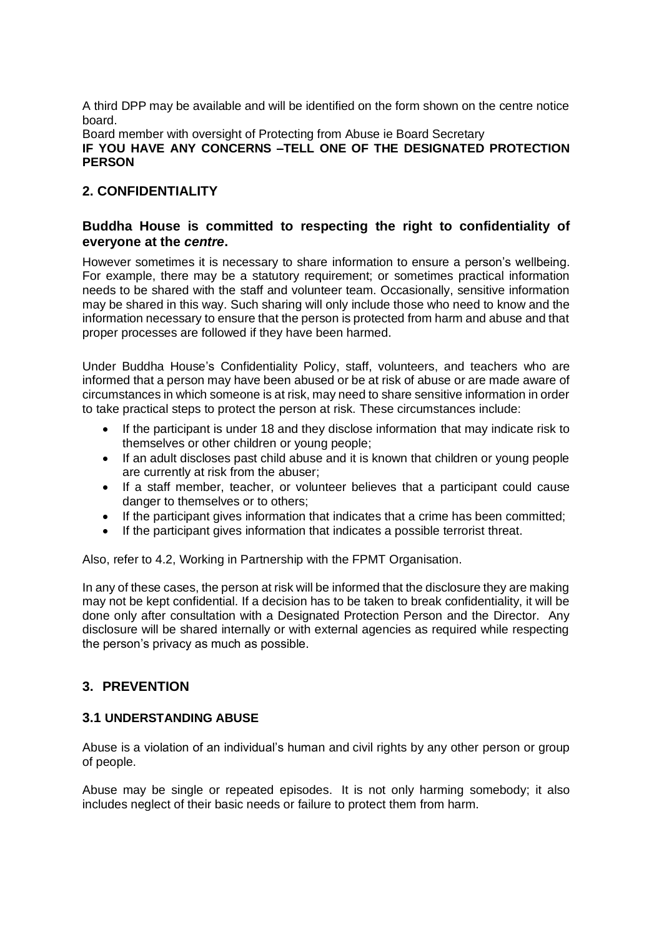A third DPP may be available and will be identified on the form shown on the centre notice board.

Board member with oversight of Protecting from Abuse ie Board Secretary

**IF YOU HAVE ANY CONCERNS –TELL ONE OF THE DESIGNATED PROTECTION PERSON**

## **2. CONFIDENTIALITY**

#### **Buddha House is committed to respecting the right to confidentiality of everyone at the** *centre***.**

However sometimes it is necessary to share information to ensure a person's wellbeing. For example, there may be a statutory requirement; or sometimes practical information needs to be shared with the staff and volunteer team. Occasionally, sensitive information may be shared in this way. Such sharing will only include those who need to know and the information necessary to ensure that the person is protected from harm and abuse and that proper processes are followed if they have been harmed.

Under Buddha House's Confidentiality Policy, staff, volunteers, and teachers who are informed that a person may have been abused or be at risk of abuse or are made aware of circumstances in which someone is at risk, may need to share sensitive information in order to take practical steps to protect the person at risk. These circumstances include:

- If the participant is under 18 and they disclose information that may indicate risk to themselves or other children or young people;
- If an adult discloses past child abuse and it is known that children or young people are currently at risk from the abuser;
- If a staff member, teacher, or volunteer believes that a participant could cause danger to themselves or to others;
- If the participant gives information that indicates that a crime has been committed;
- If the participant gives information that indicates a possible terrorist threat.

Also, refer to 4.2, Working in Partnership with the FPMT Organisation.

In any of these cases, the person at risk will be informed that the disclosure they are making may not be kept confidential. If a decision has to be taken to break confidentiality, it will be done only after consultation with a Designated Protection Person and the Director. Any disclosure will be shared internally or with external agencies as required while respecting the person's privacy as much as possible.

# **3. PREVENTION**

### **3.1 UNDERSTANDING ABUSE**

Abuse is a violation of an individual's human and civil rights by any other person or group of people.

Abuse may be single or repeated episodes. It is not only harming somebody; it also includes neglect of their basic needs or failure to protect them from harm.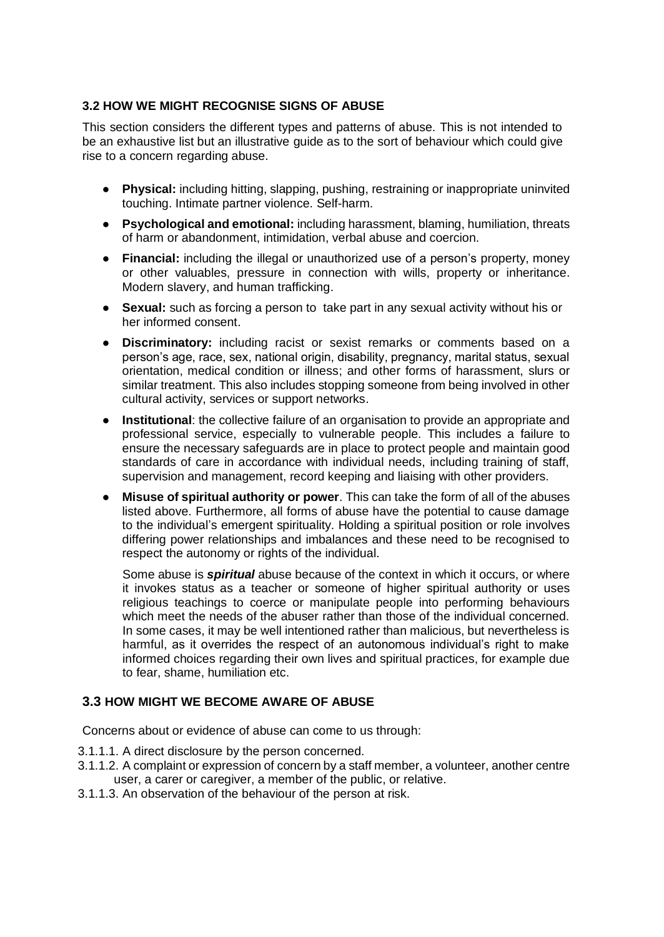#### **3.2 HOW WE MIGHT RECOGNISE SIGNS OF ABUSE**

This section considers the different types and patterns of abuse. This is not intended to be an exhaustive list but an illustrative guide as to the sort of behaviour which could give rise to a concern regarding abuse.

- **Physical:** including hitting, slapping, pushing, restraining or inappropriate uninvited touching. Intimate partner violence. Self-harm.
- **Psychological and emotional:** including harassment, blaming, humiliation, threats of harm or abandonment, intimidation, verbal abuse and coercion.
- **Financial:** including the illegal or unauthorized use of a person's property, money or other valuables, pressure in connection with wills, property or inheritance. Modern slavery, and human trafficking.
- **Sexual:** such as forcing a person to take part in any sexual activity without his or her informed consent.
- **Discriminatory:** including racist or sexist remarks or comments based on a person's age, race, sex, national origin, disability, pregnancy, marital status, sexual orientation, medical condition or illness; and other forms of harassment, slurs or similar treatment. This also includes stopping someone from being involved in other cultural activity, services or support networks.
- **Institutional**: the collective failure of an organisation to provide an appropriate and professional service, especially to vulnerable people. This includes a failure to ensure the necessary safeguards are in place to protect people and maintain good standards of care in accordance with individual needs, including training of staff, supervision and management, record keeping and liaising with other providers.
- **Misuse of spiritual authority or power**. This can take the form of all of the abuses listed above. Furthermore, all forms of abuse have the potential to cause damage to the individual's emergent spirituality. Holding a spiritual position or role involves differing power relationships and imbalances and these need to be recognised to respect the autonomy or rights of the individual.

Some abuse is *spiritual* abuse because of the context in which it occurs, or where it invokes status as a teacher or someone of higher spiritual authority or uses religious teachings to coerce or manipulate people into performing behaviours which meet the needs of the abuser rather than those of the individual concerned. In some cases, it may be well intentioned rather than malicious, but nevertheless is harmful, as it overrides the respect of an autonomous individual's right to make informed choices regarding their own lives and spiritual practices, for example due to fear, shame, humiliation etc.

#### **3.3 HOW MIGHT WE BECOME AWARE OF ABUSE**

Concerns about or evidence of abuse can come to us through:

- 3.1.1.1. A direct disclosure by the person concerned.
- 3.1.1.2. A complaint or expression of concern by a staff member, a volunteer, another centre user, a carer or caregiver, a member of the public, or relative.
- 3.1.1.3. An observation of the behaviour of the person at risk.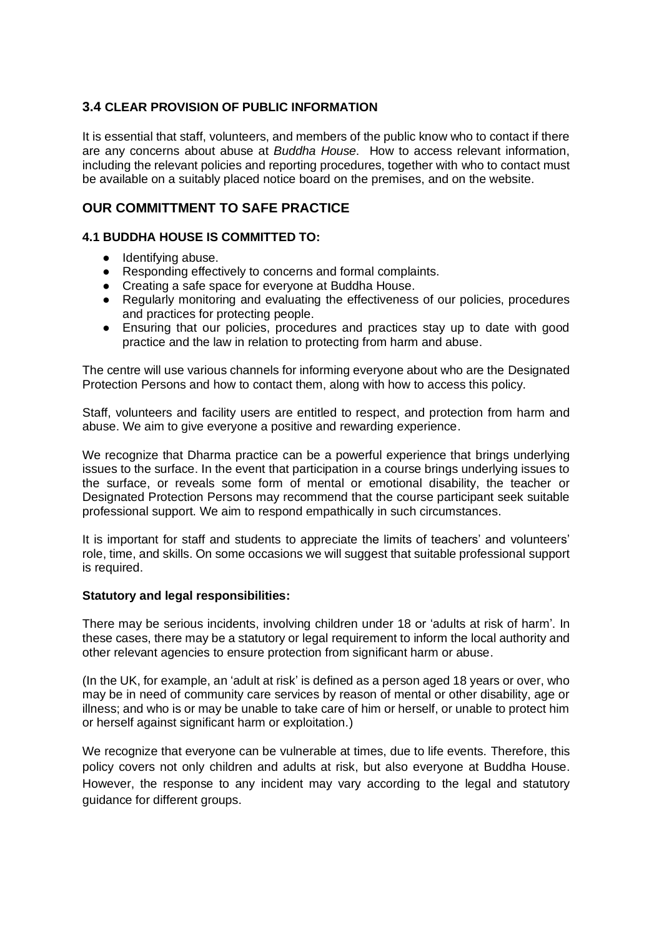#### **3.4 CLEAR PROVISION OF PUBLIC INFORMATION**

It is essential that staff, volunteers, and members of the public know who to contact if there are any concerns about abuse at *Buddha House*. How to access relevant information, including the relevant policies and reporting procedures, together with who to contact must be available on a suitably placed notice board on the premises, and on the website.

## **OUR COMMITTMENT TO SAFE PRACTICE**

#### **4.1 BUDDHA HOUSE IS COMMITTED TO:**

- Identifying abuse.
- Responding effectively to concerns and formal complaints.
- Creating a safe space for everyone at Buddha House.
- Regularly monitoring and evaluating the effectiveness of our policies, procedures and practices for protecting people.
- Ensuring that our policies, procedures and practices stay up to date with good practice and the law in relation to protecting from harm and abuse.

The centre will use various channels for informing everyone about who are the Designated Protection Persons and how to contact them, along with how to access this policy.

Staff, volunteers and facility users are entitled to respect, and protection from harm and abuse. We aim to give everyone a positive and rewarding experience.

We recognize that Dharma practice can be a powerful experience that brings underlying issues to the surface. In the event that participation in a course brings underlying issues to the surface, or reveals some form of mental or emotional disability, the teacher or Designated Protection Persons may recommend that the course participant seek suitable professional support. We aim to respond empathically in such circumstances.

It is important for staff and students to appreciate the limits of teachers' and volunteers' role, time, and skills. On some occasions we will suggest that suitable professional support is required.

#### **Statutory and legal responsibilities:**

There may be serious incidents, involving children under 18 or 'adults at risk of harm'. In these cases, there may be a statutory or legal requirement to inform the local authority and other relevant agencies to ensure protection from significant harm or abuse.

(In the UK, for example, an 'adult at risk' is defined as a person aged 18 years or over, who may be in need of community care services by reason of mental or other disability, age or illness; and who is or may be unable to take care of him or herself, or unable to protect him or herself against significant harm or exploitation.)

We recognize that everyone can be vulnerable at times, due to life events. Therefore, this policy covers not only children and adults at risk, but also everyone at Buddha House. However, the response to any incident may vary according to the legal and statutory guidance for different groups.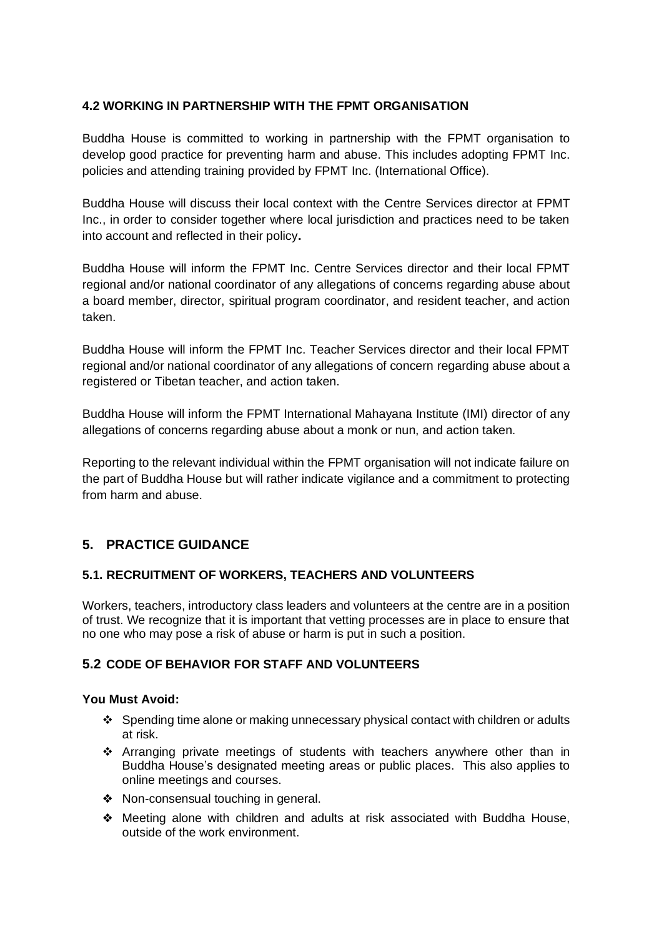#### **4.2 WORKING IN PARTNERSHIP WITH THE FPMT ORGANISATION**

Buddha House is committed to working in partnership with the FPMT organisation to develop good practice for preventing harm and abuse. This includes adopting FPMT Inc. policies and attending training provided by FPMT Inc. (International Office).

Buddha House will discuss their local context with the Centre Services director at FPMT Inc., in order to consider together where local jurisdiction and practices need to be taken into account and reflected in their policy**.** 

Buddha House will inform the FPMT Inc. Centre Services director and their local FPMT regional and/or national coordinator of any allegations of concerns regarding abuse about a board member, director, spiritual program coordinator, and resident teacher, and action taken.

Buddha House will inform the FPMT Inc. Teacher Services director and their local FPMT regional and/or national coordinator of any allegations of concern regarding abuse about a registered or Tibetan teacher, and action taken.

Buddha House will inform the FPMT International Mahayana Institute (IMI) director of any allegations of concerns regarding abuse about a monk or nun, and action taken.

Reporting to the relevant individual within the FPMT organisation will not indicate failure on the part of Buddha House but will rather indicate vigilance and a commitment to protecting from harm and abuse.

# **5. PRACTICE GUIDANCE**

### **5.1. RECRUITMENT OF WORKERS, TEACHERS AND VOLUNTEERS**

Workers, teachers, introductory class leaders and volunteers at the centre are in a position of trust. We recognize that it is important that vetting processes are in place to ensure that no one who may pose a risk of abuse or harm is put in such a position.

#### **5.2 CODE OF BEHAVIOR FOR STAFF AND VOLUNTEERS**

#### **You Must Avoid:**

- ❖ Spending time alone or making unnecessary physical contact with children or adults at risk.
- ❖ Arranging private meetings of students with teachers anywhere other than in Buddha House's designated meeting areas or public places. This also applies to online meetings and courses.
- ❖ Non-consensual touching in general.
- ❖ Meeting alone with children and adults at risk associated with Buddha House, outside of the work environment.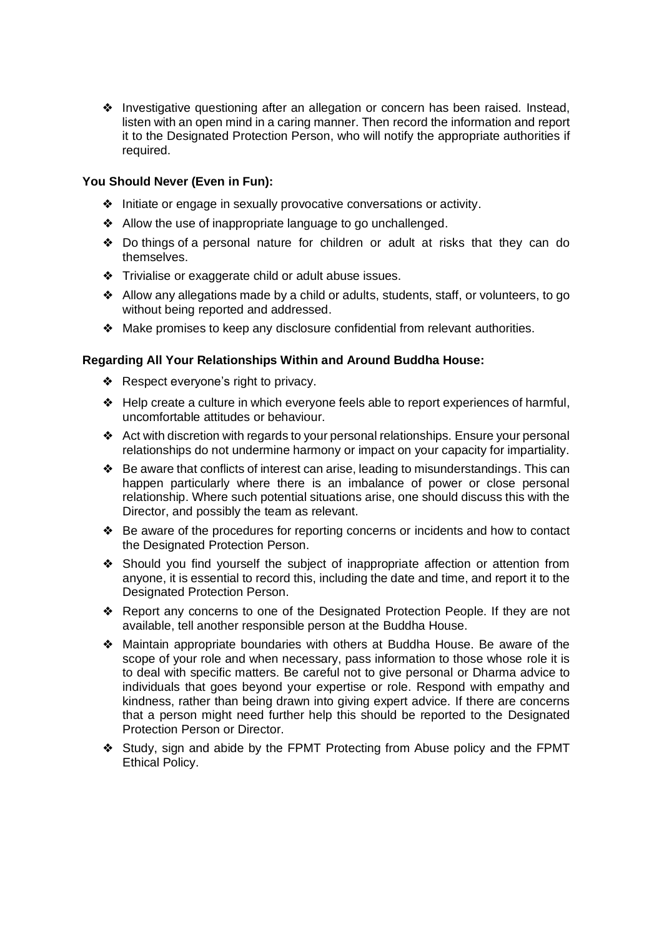❖ Investigative questioning after an allegation or concern has been raised. Instead, listen with an open mind in a caring manner. Then record the information and report it to the Designated Protection Person, who will notify the appropriate authorities if required.

#### **You Should Never (Even in Fun):**

- ❖ Initiate or engage in sexually provocative conversations or activity.
- ❖ Allow the use of inappropriate language to go unchallenged.
- ❖ Do things of a personal nature for children or adult at risks that they can do themselves.
- ❖ Trivialise or exaggerate child or adult abuse issues.
- ❖ Allow any allegations made by a child or adults, students, staff, or volunteers, to go without being reported and addressed.
- ❖ Make promises to keep any disclosure confidential from relevant authorities.

#### **Regarding All Your Relationships Within and Around Buddha House:**

- ❖ Respect everyone's right to privacy.
- ❖ Help create a culture in which everyone feels able to report experiences of harmful, uncomfortable attitudes or behaviour.
- ❖ Act with discretion with regards to your personal relationships. Ensure your personal relationships do not undermine harmony or impact on your capacity for impartiality.
- ❖ Be aware that conflicts of interest can arise, leading to misunderstandings. This can happen particularly where there is an imbalance of power or close personal relationship. Where such potential situations arise, one should discuss this with the Director, and possibly the team as relevant.
- ❖ Be aware of the procedures for reporting concerns or incidents and how to contact the Designated Protection Person.
- ❖ Should you find yourself the subject of inappropriate affection or attention from anyone, it is essential to record this, including the date and time, and report it to the Designated Protection Person.
- ❖ Report any concerns to one of the Designated Protection People. If they are not available, tell another responsible person at the Buddha House.
- ❖ Maintain appropriate boundaries with others at Buddha House. Be aware of the scope of your role and when necessary, pass information to those whose role it is to deal with specific matters. Be careful not to give personal or Dharma advice to individuals that goes beyond your expertise or role. Respond with empathy and kindness, rather than being drawn into giving expert advice. If there are concerns that a person might need further help this should be reported to the Designated Protection Person or Director.
- ❖ Study, sign and abide by the FPMT Protecting from Abuse policy and the FPMT Ethical Policy.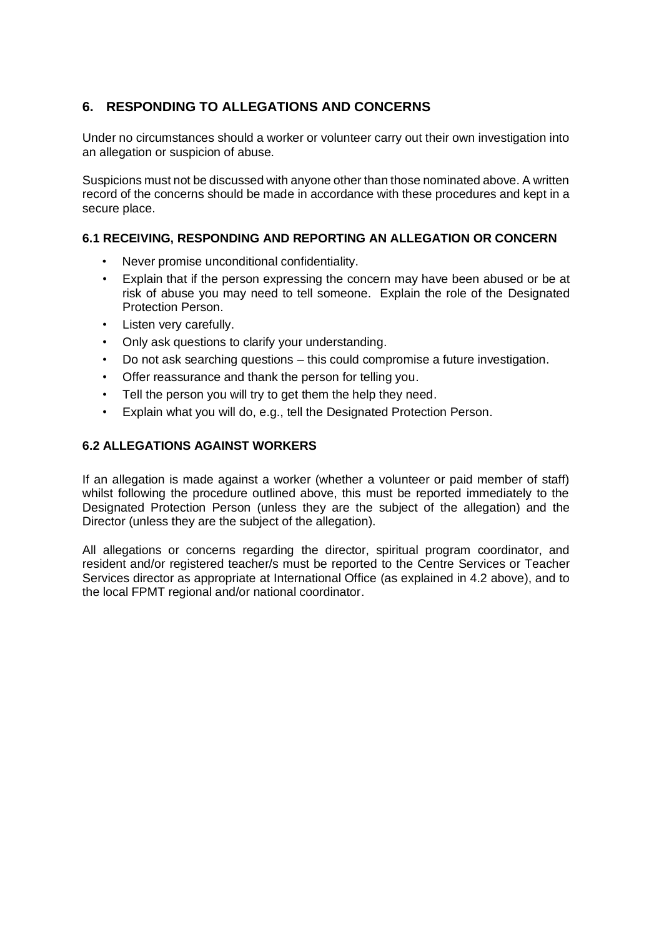# **6. RESPONDING TO ALLEGATIONS AND CONCERNS**

Under no circumstances should a worker or volunteer carry out their own investigation into an allegation or suspicion of abuse.

Suspicions must not be discussed with anyone other than those nominated above. A written record of the concerns should be made in accordance with these procedures and kept in a secure place.

### **6.1 RECEIVING, RESPONDING AND REPORTING AN ALLEGATION OR CONCERN**

- Never promise unconditional confidentiality.
- Explain that if the person expressing the concern may have been abused or be at risk of abuse you may need to tell someone. Explain the role of the Designated Protection Person.
- Listen very carefully.
- Only ask questions to clarify your understanding.
- Do not ask searching questions this could compromise a future investigation.
- Offer reassurance and thank the person for telling you.
- Tell the person you will try to get them the help they need.
- Explain what you will do, e.g., tell the Designated Protection Person.

### **6.2 ALLEGATIONS AGAINST WORKERS**

If an allegation is made against a worker (whether a volunteer or paid member of staff) whilst following the procedure outlined above, this must be reported immediately to the Designated Protection Person (unless they are the subject of the allegation) and the Director (unless they are the subject of the allegation).

All allegations or concerns regarding the director, spiritual program coordinator, and resident and/or registered teacher/s must be reported to the Centre Services or Teacher Services director as appropriate at International Office (as explained in 4.2 above), and to the local FPMT regional and/or national coordinator.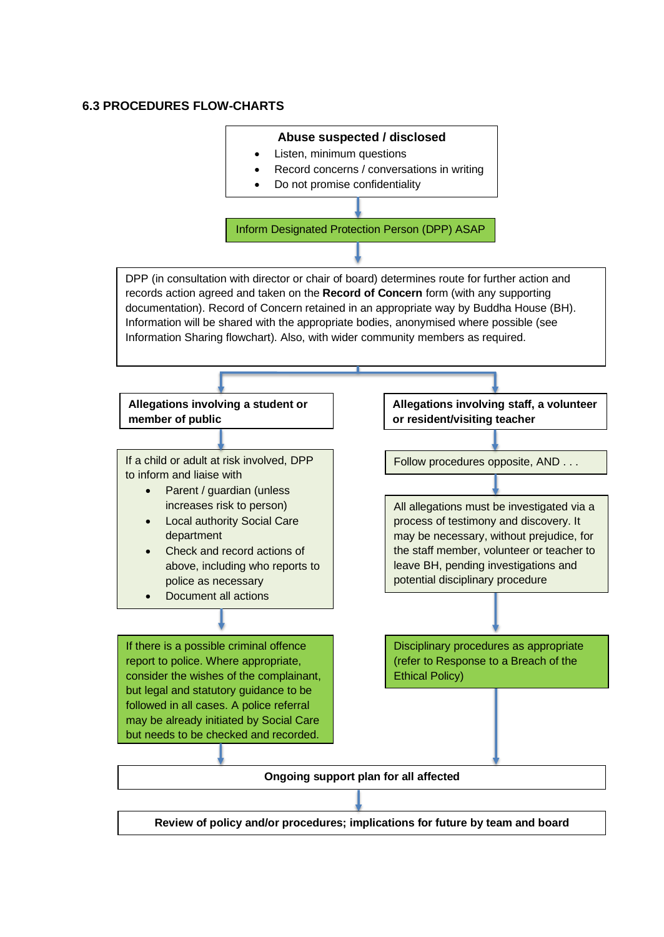#### **6.3 PROCEDURES FLOW-CHARTS**

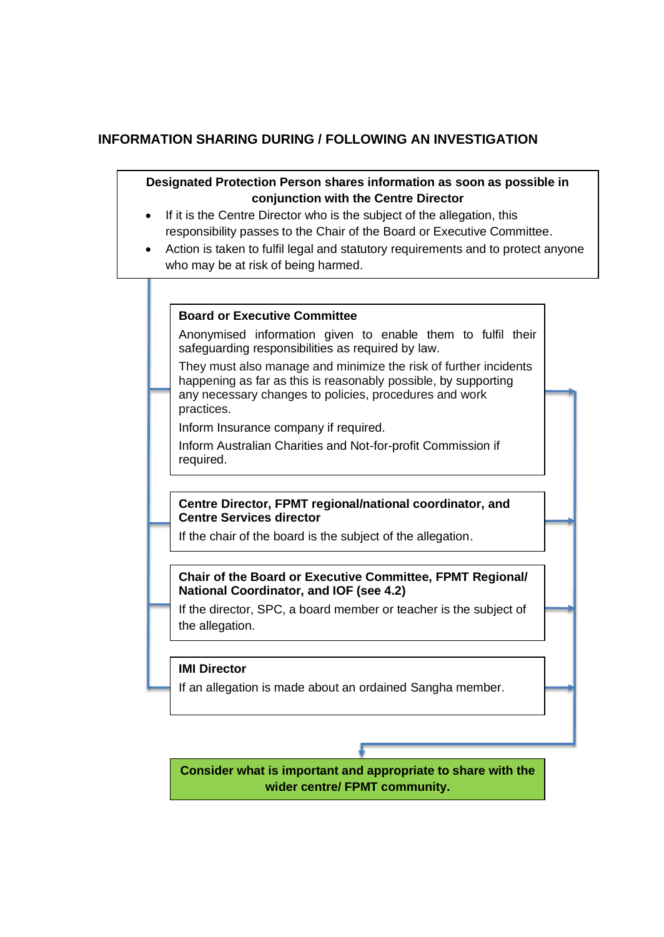# **INFORMATION SHARING DURING / FOLLOWING AN INVESTIGATION**

## **Designated Protection Person shares information as soon as possible in conjunction with the Centre Director**

- If it is the Centre Director who is the subject of the allegation, this responsibility passes to the Chair of the Board or Executive Committee.
- Action is taken to fulfil legal and statutory requirements and to protect anyone who may be at risk of being harmed.

#### **Board or Executive Committee**

Anonymised information given to enable them to fulfil their safeguarding responsibilities as required by law.

They must also manage and minimize the risk of further incidents happening as far as this is reasonably possible, by supporting any necessary changes to policies, procedures and work practices.

Inform Insurance company if required.

Inform Australian Charities and Not-for-profit Commission if required.

#### **Centre Director, FPMT regional/national coordinator, and Centre Services director**

If the chair of the board is the subject of the allegation.

### **Chair of the Board or Executive Committee, FPMT Regional/ National Coordinator, and IOF (see 4.2)**

If the director, SPC, a board member or teacher is the subject of the allegation.

#### **IMI Director**

If an allegation is made about an ordained Sangha member.

**Consider what is important and appropriate to share with the wider centre/ FPMT community.**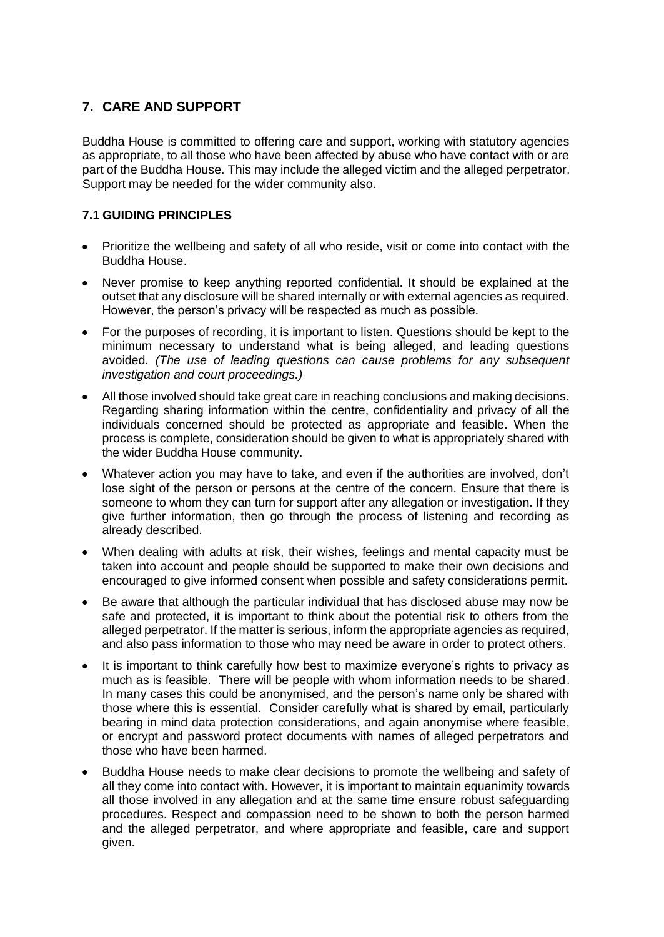# **7. CARE AND SUPPORT**

Buddha House is committed to offering care and support, working with statutory agencies as appropriate, to all those who have been affected by abuse who have contact with or are part of the Buddha House. This may include the alleged victim and the alleged perpetrator. Support may be needed for the wider community also.

### **7.1 GUIDING PRINCIPLES**

- Prioritize the wellbeing and safety of all who reside, visit or come into contact with the Buddha House.
- Never promise to keep anything reported confidential. It should be explained at the outset that any disclosure will be shared internally or with external agencies as required. However, the person's privacy will be respected as much as possible.
- For the purposes of recording, it is important to listen. Questions should be kept to the minimum necessary to understand what is being alleged, and leading questions avoided. *(The use of leading questions can cause problems for any subsequent investigation and court proceedings.)*
- All those involved should take great care in reaching conclusions and making decisions. Regarding sharing information within the centre, confidentiality and privacy of all the individuals concerned should be protected as appropriate and feasible. When the process is complete, consideration should be given to what is appropriately shared with the wider Buddha House community.
- Whatever action you may have to take, and even if the authorities are involved, don't lose sight of the person or persons at the centre of the concern. Ensure that there is someone to whom they can turn for support after any allegation or investigation. If they give further information, then go through the process of listening and recording as already described.
- When dealing with adults at risk, their wishes, feelings and mental capacity must be taken into account and people should be supported to make their own decisions and encouraged to give informed consent when possible and safety considerations permit.
- Be aware that although the particular individual that has disclosed abuse may now be safe and protected, it is important to think about the potential risk to others from the alleged perpetrator. If the matter is serious, inform the appropriate agencies as required, and also pass information to those who may need be aware in order to protect others.
- It is important to think carefully how best to maximize everyone's rights to privacy as much as is feasible. There will be people with whom information needs to be shared. In many cases this could be anonymised, and the person's name only be shared with those where this is essential. Consider carefully what is shared by email, particularly bearing in mind data protection considerations, and again anonymise where feasible, or encrypt and password protect documents with names of alleged perpetrators and those who have been harmed.
- Buddha House needs to make clear decisions to promote the wellbeing and safety of all they come into contact with. However, it is important to maintain equanimity towards all those involved in any allegation and at the same time ensure robust safeguarding procedures. Respect and compassion need to be shown to both the person harmed and the alleged perpetrator, and where appropriate and feasible, care and support given.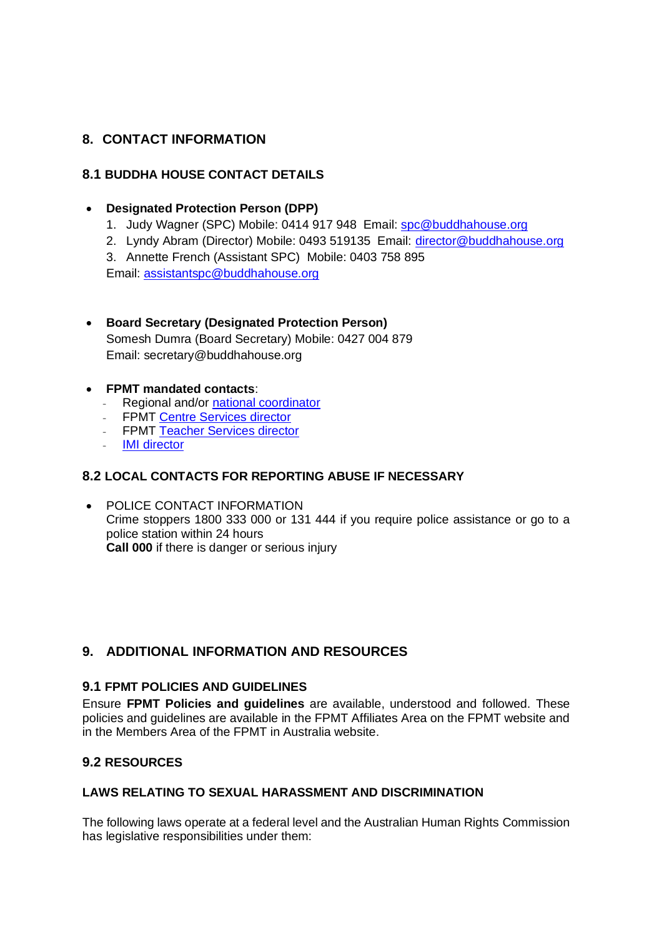# **8. CONTACT INFORMATION**

## **8.1 BUDDHA HOUSE CONTACT DETAILS**

### • **Designated Protection Person (DPP)**

- 1. Judy Wagner (SPC) Mobile: 0414 917 948 Email: [spc@buddhahouse.org](mailto:spc@buddhahouse.org)
- 2. Lyndy Abram (Director) Mobile: 0493 519135 Email: [director@buddhahouse.org](mailto:director@buddhahouse.org)

3. Annette French (Assistant SPC) Mobile: 0403 758 895

Email: [assistantspc@buddhahouse.org](mailto:assistantspc@buddhahouse.org) 

#### • **Board Secretary (Designated Protection Person)** Somesh Dumra (Board Secretary) Mobile: 0427 004 879

Email: secretary@buddhahouse.org

#### • **FPMT mandated contacts**:

- Regional and/or **national coordinator**<br>- FPMT Centre Services director
- FPMT Centre [Services director](mailto:centerservices@fpmt.org)
- FPMT [Teacher Services director](http://francois@fpmt.org)
- [IMI director](mailto:director@imisangha.org)

### **8.2 LOCAL CONTACTS FOR REPORTING ABUSE IF NECESSARY**

• POLICE CONTACT INFORMATION Crime stoppers 1800 333 000 or 131 444 if you require police assistance or go to a police station within 24 hours **Call 000** if there is danger or serious injury

# **9. ADDITIONAL INFORMATION AND RESOURCES**

## **9.1 FPMT POLICIES AND GUIDELINES**

Ensure **FPMT Policies and guidelines** are available, understood and followed. These policies and guidelines are available in the FPMT Affiliates Area on the FPMT website and in the Members Area of the FPMT in Australia website.

### **9.2 RESOURCES**

### **LAWS RELATING TO SEXUAL HARASSMENT AND DISCRIMINATION**

The following laws operate at a federal level and the Australian Human Rights Commission has legislative responsibilities under them: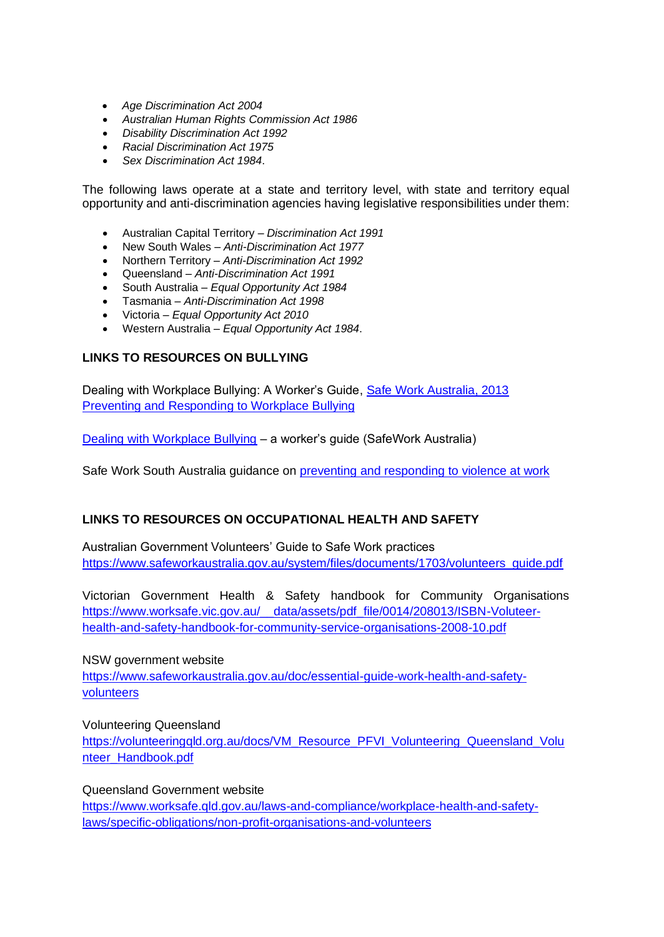- *Age Discrimination Act 2004*
- *Australian Human Rights Commission Act 1986*
- *Disability Discrimination Act 1992*
- *Racial Discrimination Act 1975*
- *Sex Discrimination Act 1984*.

The following laws operate at a state and territory level, with state and territory equal opportunity and anti-discrimination agencies having legislative responsibilities under them:

- Australian Capital Territory *Discrimination Act 1991*
- New South Wales *Anti-Discrimination Act 1977*
- Northern Territory *Anti-Discrimination Act 1992*
- Queensland *Anti-Discrimination Act 1991*
- South Australia *Equal Opportunity Act 1984*
- Tasmania *Anti-Discrimination Act 1998*
- Victoria *Equal Opportunity Act 2010*
- Western Australia *Equal Opportunity Act 1984*.

#### **LINKS TO RESOURCES ON BULLYING**

Dealing with Workplace Bullying: A Worker's Guide, [Safe Work Australia, 2013](https://www.safeworkaustralia.gov.au/doc/dealing-workplace-bullying-workers-guide) [Preventing and Responding to Workplace Bullying](http://www.safeworkaustralia.gov.au/sites/swa/about/publications/pages/guide-workplace-bullying) 

[Dealing with Workplace Bullying](http://www.safeworkaustralia.gov.au/sites/swa/about/publications/pages/workers-guide-workplace-bullying) – a worker's guide (SafeWork Australia)

Safe Work South Australia guidance on [preventing and responding to violence at work](http://www.safework.sa.gov.au/show_page.jsp?id=5901)

#### **LINKS TO RESOURCES ON OCCUPATIONAL HEALTH AND SAFETY**

Australian Government Volunteers' Guide to Safe Work practices [https://www.safeworkaustralia.gov.au/system/files/documents/1703/volunteers\\_guide.pdf](https://www.safeworkaustralia.gov.au/system/files/documents/1703/volunteers_guide.pdf)

Victorian Government Health & Safety handbook for Community Organisations [https://www.worksafe.vic.gov.au/\\_\\_data/assets/pdf\\_file/0014/208013/ISBN-Voluteer](https://www.worksafe.vic.gov.au/__data/assets/pdf_file/0014/208013/ISBN-Voluteer-health-and-safety-handbook-for-community-service-organisations-2008-10.pdf)[health-and-safety-handbook-for-community-service-organisations-2008-10.pdf](https://www.worksafe.vic.gov.au/__data/assets/pdf_file/0014/208013/ISBN-Voluteer-health-and-safety-handbook-for-community-service-organisations-2008-10.pdf)

NSW government website

[https://www.safeworkaustralia.gov.au/doc/essential-guide-work-health-and-safety](https://www.safeworkaustralia.gov.au/doc/essential-guide-work-health-and-safety-volunteers)[volunteers](https://www.safeworkaustralia.gov.au/doc/essential-guide-work-health-and-safety-volunteers)

Volunteering Queensland [https://volunteeringqld.org.au/docs/VM\\_Resource\\_PFVI\\_Volunteering\\_Queensland\\_Volu](https://volunteeringqld.org.au/docs/VM_Resource_PFVI_Volunteering_Queensland_Volunteer_Handbook.pdf) [nteer\\_Handbook.pdf](https://volunteeringqld.org.au/docs/VM_Resource_PFVI_Volunteering_Queensland_Volunteer_Handbook.pdf)

Queensland Government website [https://www.worksafe.qld.gov.au/laws-and-compliance/workplace-health-and-safety](https://www.worksafe.qld.gov.au/laws-and-compliance/workplace-health-and-safety-laws/specific-obligations/non-profit-organisations-and-volunteers)[laws/specific-obligations/non-profit-organisations-and-volunteers](https://www.worksafe.qld.gov.au/laws-and-compliance/workplace-health-and-safety-laws/specific-obligations/non-profit-organisations-and-volunteers)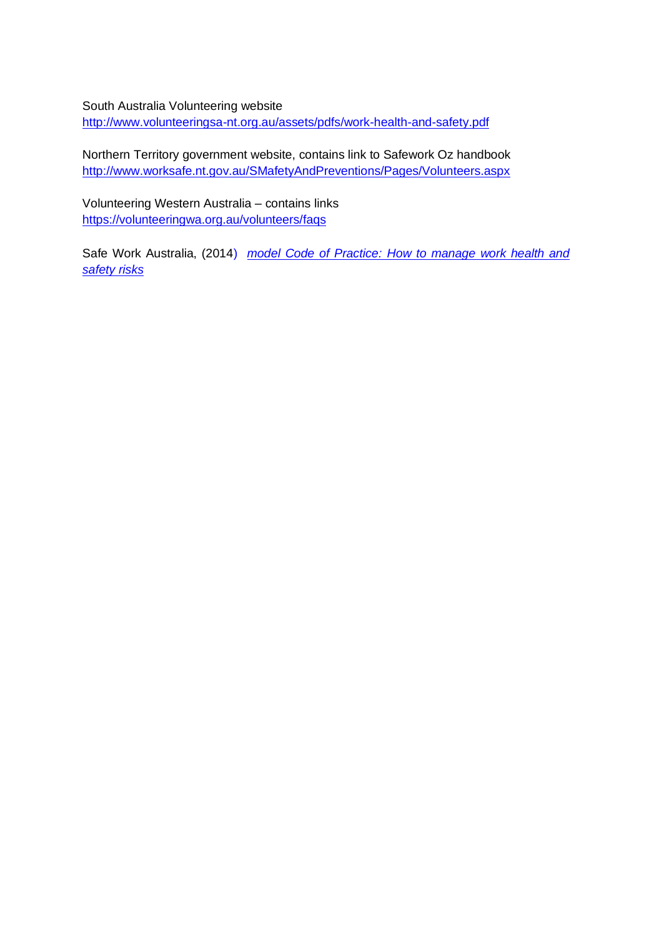South Australia Volunteering website <http://www.volunteeringsa-nt.org.au/assets/pdfs/work-health-and-safety.pdf>

Northern Territory government website, contains link to Safework Oz handbook [http://www.worksafe.nt.gov.au/SMafetyAndPreventions/Pages/Volunteers.aspx](http://www.worksafe.nt.gov.au/SafetyAndPreventions/Pages/Volunteers.aspx)

Volunteering Western Australia – contains links <https://volunteeringwa.org.au/volunteers/faqs>

Safe Work Australia, (2014) *[model Code of Practice: How to manage work health and](https://www.safeworkaustralia.gov.au/doc/model-code-practice-how-manage-work-health-and-safety-risks)  [safety risks](https://www.safeworkaustralia.gov.au/doc/model-code-practice-how-manage-work-health-and-safety-risks)*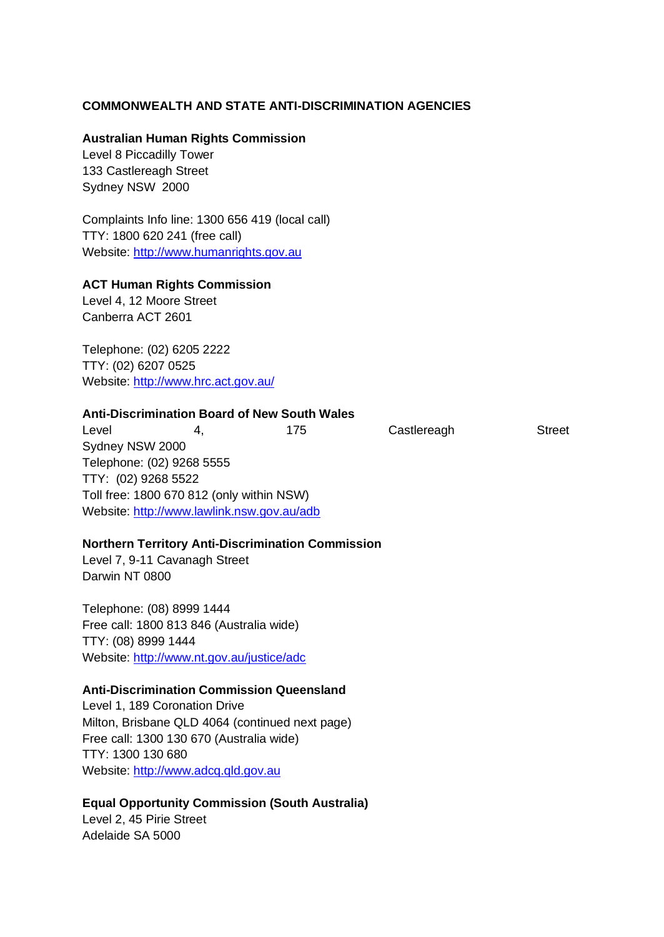#### **COMMONWEALTH AND STATE ANTI-DISCRIMINATION AGENCIES**

#### **Australian Human Rights Commission**

Level 8 Piccadilly Tower 133 Castlereagh Street Sydney NSW 2000

Complaints Info line: 1300 656 419 (local call) TTY: 1800 620 241 (free call) Website: [http://www.humanrights.gov.au](http://www.humanrights.gov.au/)

#### **ACT Human Rights Commission**

Level 4, 12 Moore Street Canberra ACT 2601

Telephone: (02) 6205 2222 TTY: (02) 6207 0525 Website:<http://www.hrc.act.gov.au/>

#### **Anti-Discrimination Board of New South Wales**

Level 4, 175 Castlereagh Street Sydney NSW 2000 Telephone: (02) 9268 5555 TTY: (02) 9268 5522 Toll free: 1800 670 812 (only within NSW) Website:<http://www.lawlink.nsw.gov.au/adb>

#### **Northern Territory Anti-Discrimination Commission**

Level 7, 9-11 Cavanagh Street Darwin NT 0800

Telephone: (08) 8999 1444 Free call: 1800 813 846 (Australia wide) TTY: (08) 8999 1444 Website:<http://www.nt.gov.au/justice/adc>

#### **Anti-Discrimination Commission Queensland**

Level 1, 189 Coronation Drive Milton, Brisbane QLD 4064 (continued next page) Free call: 1300 130 670 (Australia wide) TTY: 1300 130 680 Website: [http://www.adcq.qld.gov.au](http://www.adcq.qld.gov.au/)

#### **Equal Opportunity Commission (South Australia)**

Level 2, 45 Pirie Street Adelaide SA 5000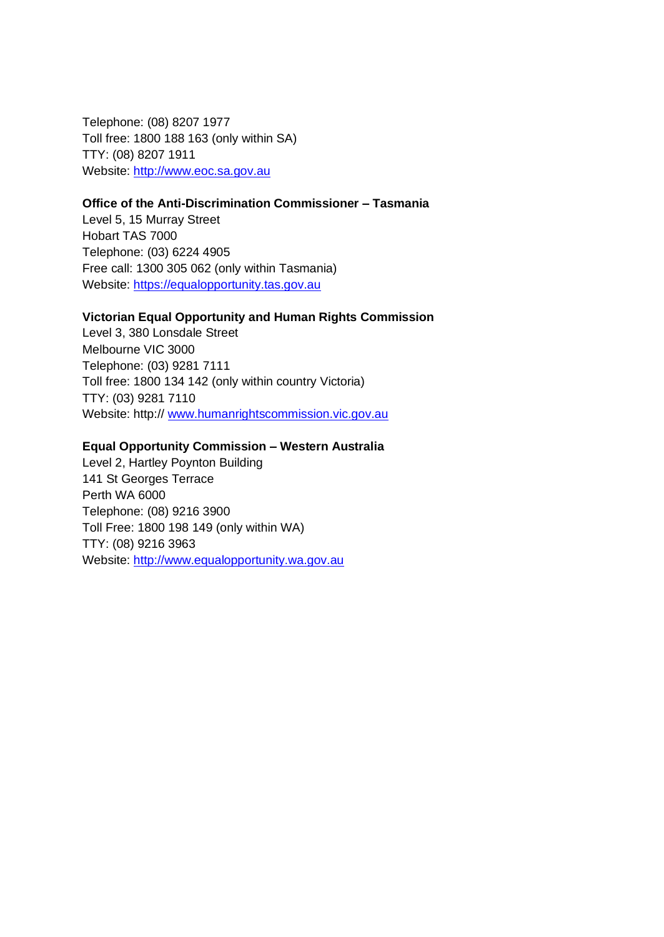Telephone: (08) 8207 1977 Toll free: 1800 188 163 (only within SA) TTY: (08) 8207 1911 Website: [http://www.eoc.sa.gov.au](http://www.eoc.sa.gov.au/)

#### **Office of the Anti-Discrimination Commissioner – Tasmania**

Level 5, 15 Murray Street Hobart TAS 7000 Telephone: (03) 6224 4905 Free call: 1300 305 062 (only within Tasmania) Website: [https://equalopportunity.tas.gov.au](https://equalopportunity.tas.gov.au/)

#### **Victorian Equal Opportunity and Human Rights Commission**

Level 3, 380 Lonsdale Street Melbourne VIC 3000 Telephone: (03) 9281 7111 Toll free: 1800 134 142 (only within country Victoria) TTY: (03) 9281 7110 Website: http:// [www.humanrightscommission.vic.gov.au](http://www.humanrightscommission.vic.gov.au/)

#### **Equal Opportunity Commission – Western Australia**

Level 2, Hartley Poynton Building 141 St Georges Terrace Perth WA 6000 Telephone: (08) 9216 3900 Toll Free: 1800 198 149 (only within WA) TTY: (08) 9216 3963 Website: [http://www.equalopportunity.wa.gov.au](http://www.equalopportunity.wa.gov.au/)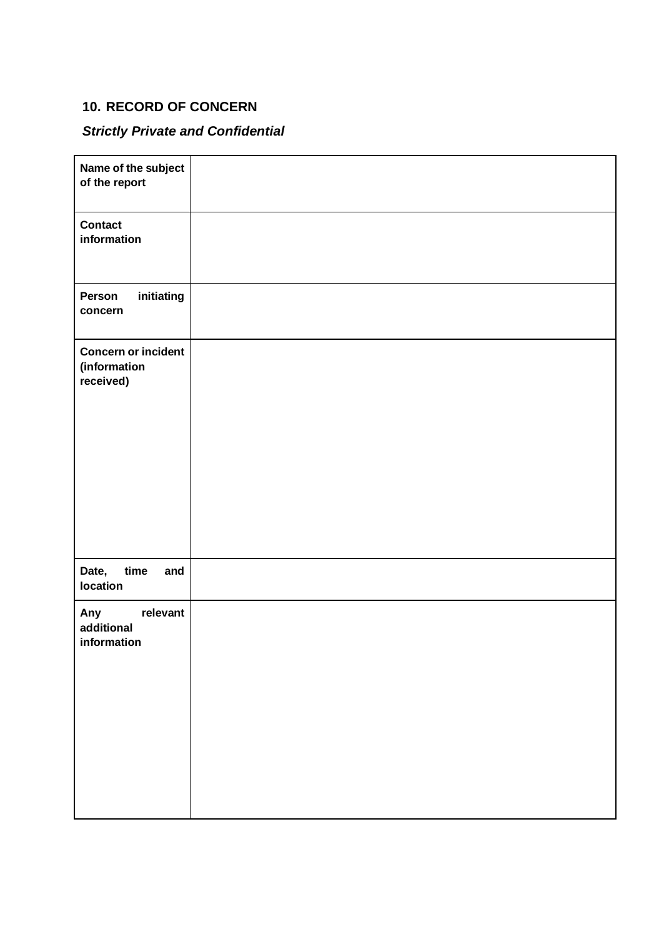# **10. RECORD OF CONCERN**

# *Strictly Private and Confidential*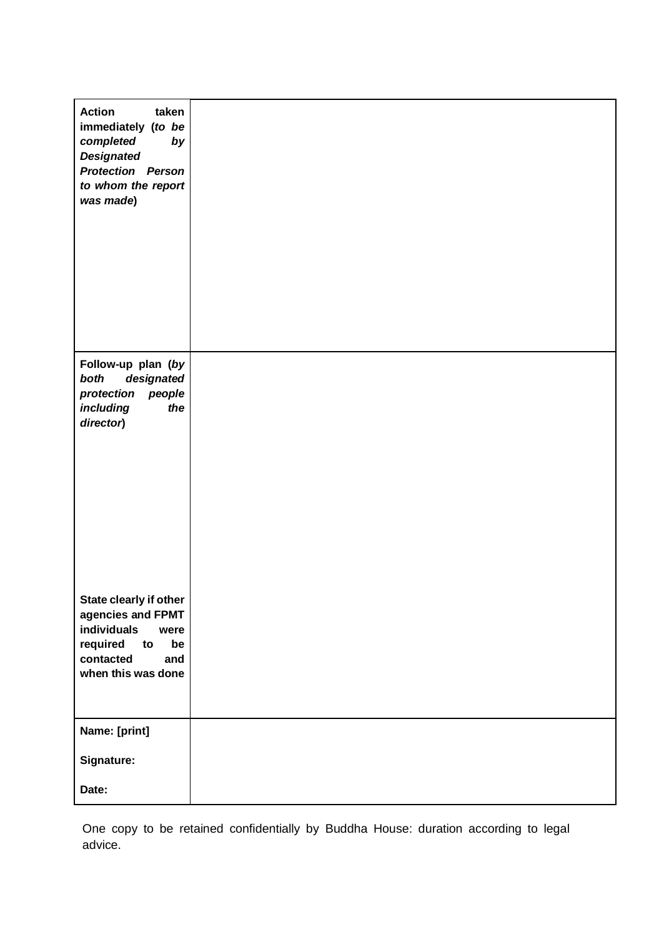| taken<br><b>Action</b><br>immediately (to be<br>completed<br>by<br><b>Designated</b><br><b>Protection Person</b><br>to whom the report<br>was made) |  |
|-----------------------------------------------------------------------------------------------------------------------------------------------------|--|
| Follow-up plan (by<br>designated<br>both<br>protection<br>people<br>including<br>the<br>director)                                                   |  |
| State clearly if other<br>agencies and FPMT<br>individuals<br>were<br>required<br>be<br>to<br>contacted<br>and<br>when this was done                |  |
| Name: [print]<br>Signature:                                                                                                                         |  |
| Date:                                                                                                                                               |  |

One copy to be retained confidentially by Buddha House: duration according to legal advice.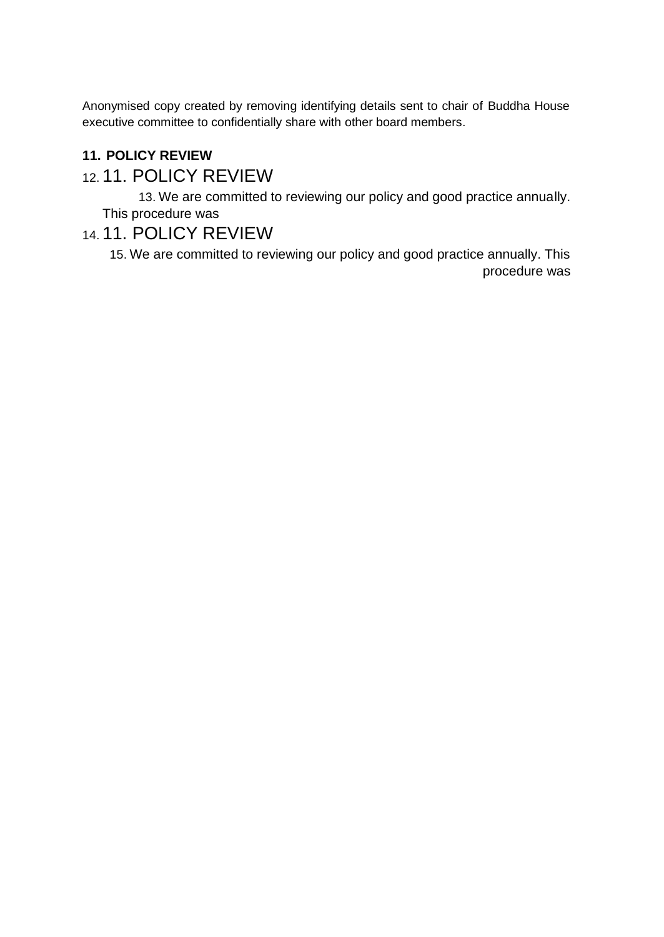Anonymised copy created by removing identifying details sent to chair of Buddha House executive committee to confidentially share with other board members.

# **11. POLICY REVIEW**

# 12. 11. POLICY REVIEW

13. We are committed to reviewing our policy and good practice annually. This procedure was

# 14. 11. POLICY REVIEW

15. We are committed to reviewing our policy and good practice annually. This procedure was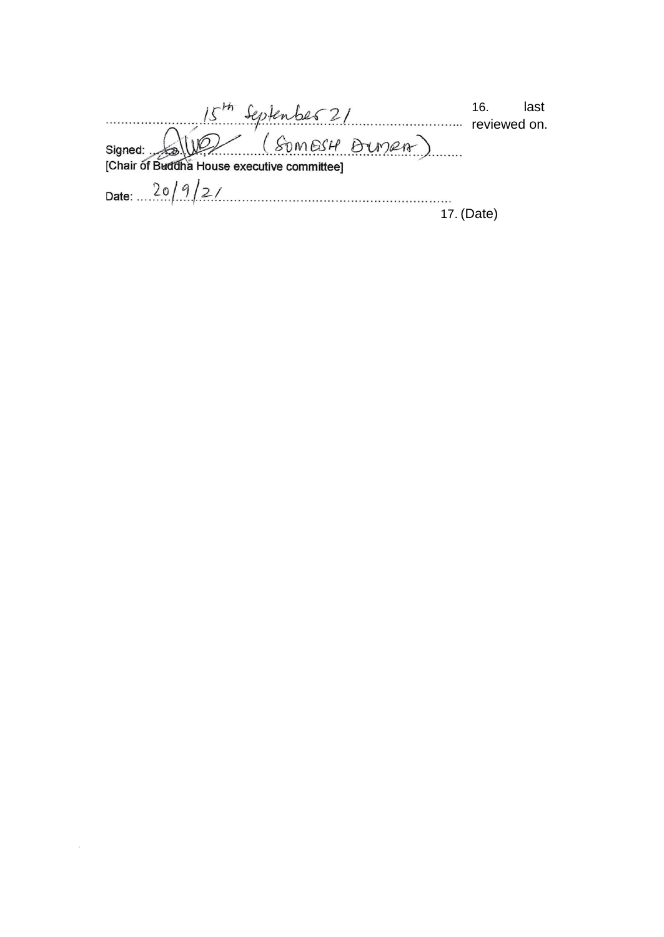| 15th September 21      | 16.          | last |
|------------------------|--------------|------|
| Signed: Som est Bunen) | reviewed on. |      |
|                        |              |      |
|                        |              |      |
| Date: $20/9/2/$        |              |      |
|                        | 17. (Date)   |      |
|                        |              |      |

 $\label{eq:2.1} \frac{1}{\sqrt{2}}\sum_{i=1}^n\frac{1}{\sqrt{2}}\sum_{i=1}^n\frac{1}{\sqrt{2}}\sum_{i=1}^n\frac{1}{\sqrt{2}}\sum_{i=1}^n\frac{1}{\sqrt{2}}\sum_{i=1}^n\frac{1}{\sqrt{2}}\sum_{i=1}^n\frac{1}{\sqrt{2}}\sum_{i=1}^n\frac{1}{\sqrt{2}}\sum_{i=1}^n\frac{1}{\sqrt{2}}\sum_{i=1}^n\frac{1}{\sqrt{2}}\sum_{i=1}^n\frac{1}{\sqrt{2}}\sum_{i=1}^n\frac$